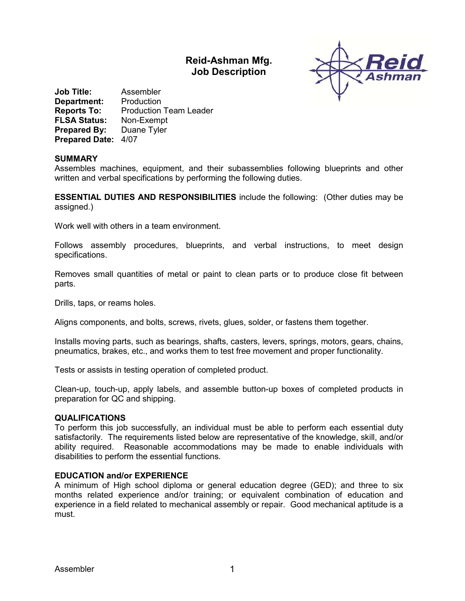# **Reid-Ashman Mfg. Job Description**



**Job Title:** Assembler **Department:** Production **Reports To:** Production Team Leader **FLSA Status:** Non-Exempt **Prepared By:** Duane Tyler **Prepared Date:** 4/07

## **SUMMARY**

Assembles machines, equipment, and their subassemblies following blueprints and other written and verbal specifications by performing the following duties.

**ESSENTIAL DUTIES AND RESPONSIBILITIES** include the following: (Other duties may be assigned.)

Work well with others in a team environment.

Follows assembly procedures, blueprints, and verbal instructions, to meet design specifications.

Removes small quantities of metal or paint to clean parts or to produce close fit between parts.

Drills, taps, or reams holes.

Aligns components, and bolts, screws, rivets, glues, solder, or fastens them together.

Installs moving parts, such as bearings, shafts, casters, levers, springs, motors, gears, chains, pneumatics, brakes, etc., and works them to test free movement and proper functionality.

Tests or assists in testing operation of completed product.

Clean-up, touch-up, apply labels, and assemble button-up boxes of completed products in preparation for QC and shipping.

#### **QUALIFICATIONS**

To perform this job successfully, an individual must be able to perform each essential duty satisfactorily. The requirements listed below are representative of the knowledge, skill, and/or ability required. Reasonable accommodations may be made to enable individuals with disabilities to perform the essential functions.

#### **EDUCATION and/or EXPERIENCE**

A minimum of High school diploma or general education degree (GED); and three to six months related experience and/or training; or equivalent combination of education and experience in a field related to mechanical assembly or repair. Good mechanical aptitude is a must.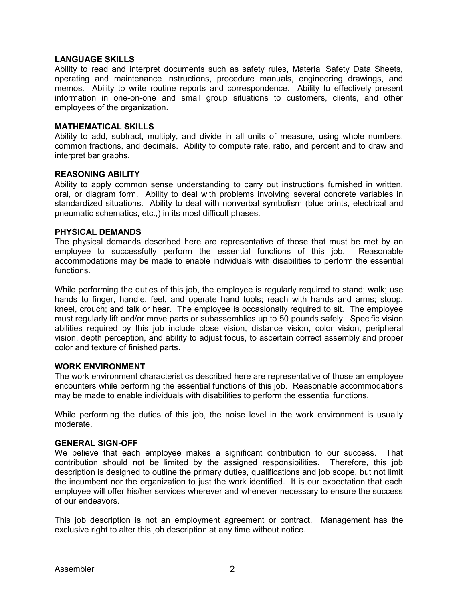## **LANGUAGE SKILLS**

Ability to read and interpret documents such as safety rules, Material Safety Data Sheets, operating and maintenance instructions, procedure manuals, engineering drawings, and memos. Ability to write routine reports and correspondence. Ability to effectively present information in one-on-one and small group situations to customers, clients, and other employees of the organization.

#### **MATHEMATICAL SKILLS**

Ability to add, subtract, multiply, and divide in all units of measure, using whole numbers, common fractions, and decimals. Ability to compute rate, ratio, and percent and to draw and interpret bar graphs.

#### **REASONING ABILITY**

Ability to apply common sense understanding to carry out instructions furnished in written, oral, or diagram form. Ability to deal with problems involving several concrete variables in standardized situations. Ability to deal with nonverbal symbolism (blue prints, electrical and pneumatic schematics, etc.,) in its most difficult phases.

#### **PHYSICAL DEMANDS**

The physical demands described here are representative of those that must be met by an employee to successfully perform the essential functions of this job. Reasonable accommodations may be made to enable individuals with disabilities to perform the essential functions.

While performing the duties of this job, the employee is regularly required to stand; walk; use hands to finger, handle, feel, and operate hand tools; reach with hands and arms; stoop, kneel, crouch; and talk or hear. The employee is occasionally required to sit. The employee must regularly lift and/or move parts or subassemblies up to 50 pounds safely. Specific vision abilities required by this job include close vision, distance vision, color vision, peripheral vision, depth perception, and ability to adjust focus, to ascertain correct assembly and proper color and texture of finished parts.

# **WORK ENVIRONMENT**

The work environment characteristics described here are representative of those an employee encounters while performing the essential functions of this job. Reasonable accommodations may be made to enable individuals with disabilities to perform the essential functions.

While performing the duties of this job, the noise level in the work environment is usually moderate.

#### **GENERAL SIGN-OFF**

We believe that each employee makes a significant contribution to our success. That contribution should not be limited by the assigned responsibilities. Therefore, this job description is designed to outline the primary duties, qualifications and job scope, but not limit the incumbent nor the organization to just the work identified. It is our expectation that each employee will offer his/her services wherever and whenever necessary to ensure the success of our endeavors.

This job description is not an employment agreement or contract. Management has the exclusive right to alter this job description at any time without notice.